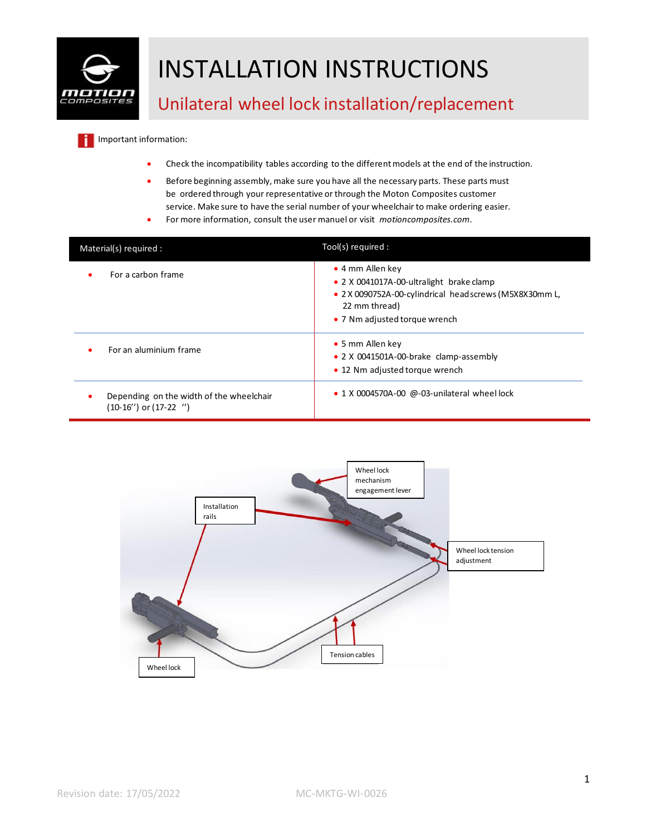

Important information: ۱i

- Check the incompatibility tables according to the different models at the end of the instruction.
- Before beginning assembly, make sure you have all the necessary parts. These parts must be ordered through your representative or through the Moton Composites customer service. Make sure to have the serial number of your wheelchair to make ordering easier.
- For more information, consult the user manuel or visit *motioncomposites.com.*

| Material(s) required :                                                 | Tool(s) required :                                                                                                                                                       |
|------------------------------------------------------------------------|--------------------------------------------------------------------------------------------------------------------------------------------------------------------------|
| For a carbon frame<br>٠                                                | • 4 mm Allen key<br>• 2 X 0041017A-00-ultralight brake clamp<br>• 2 X 0090752A-00-cylindrical headscrews (M5X8X30mm L,<br>22 mm thread)<br>• 7 Nm adjusted torque wrench |
| For an aluminium frame                                                 | • 5 mm Allen key<br>• 2 X 0041501A-00-brake clamp-assembly<br>• 12 Nm adjusted torque wrench                                                                             |
| Depending on the width of the wheelchair<br>$(10-16'')$ or $(17-22'')$ | $\bullet$ 1 X 0004570A-00 @-03-unilateral wheel lock                                                                                                                     |

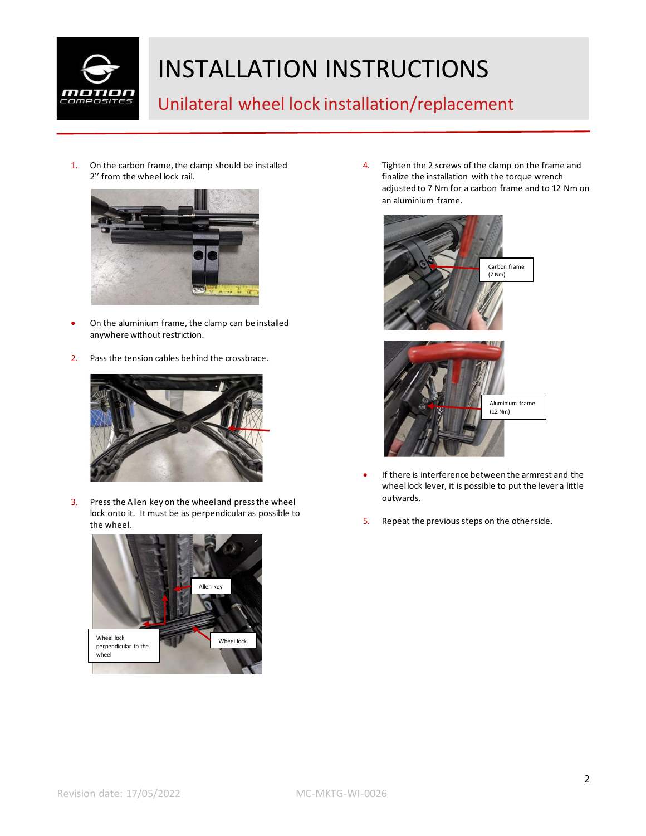

#### Unilateral wheel lock installation/replacement

1. On the carbon frame, the clamp should be installed 2'' from the wheel lock rail.



- On the aluminium frame, the clamp can be installed anywhere without restriction.
- 2. Pass the tension cables behind the crossbrace.



3. Press the Allen key on the wheel and press the wheel lock onto it. It must be as perpendicular as possible to the wheel.



4. Tighten the 2 screws of the clamp on the frame and finalize the installation with the torque wrench adjusted to 7 Nm for a carbon frame and to 12 Nm on an aluminium frame.



- If there is interference between the armrest and the wheel lock lever, it is possible to put the lever a little outwards.
- 5. Repeat the previous steps on the other side.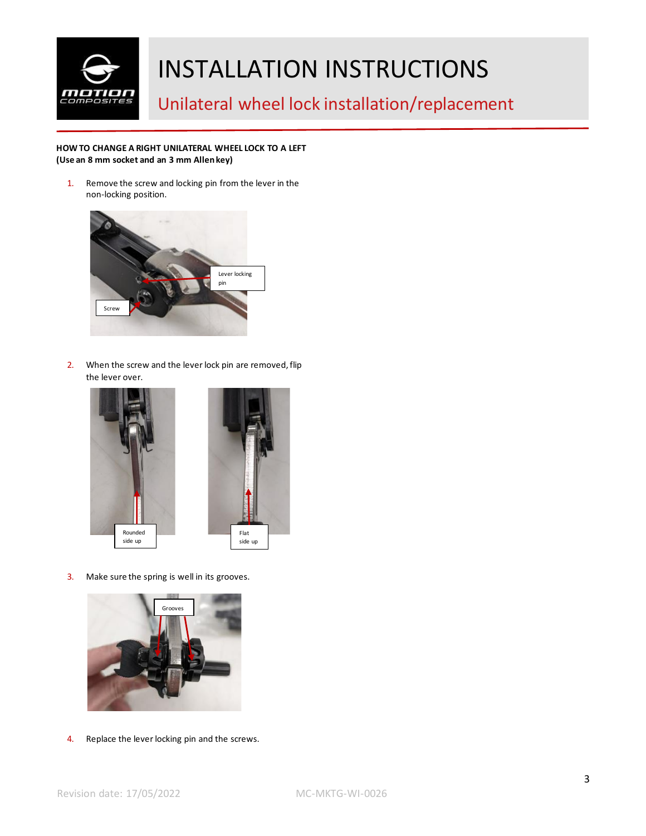

Unilateral wheel lock installation/replacement

#### **HOW TO CHANGE A RIGHT UNILATERAL WHEEL LOCK TO A LEFT (Use an 8 mm socket and an 3 mm Allen key)**

1. Remove the screw and locking pin from the lever in the non-locking position.



2. When the screw and the lever lock pin are removed, flip the lever over.



3. Make sure the spring is well in its grooves.



4. Replace the lever locking pin and the screws.